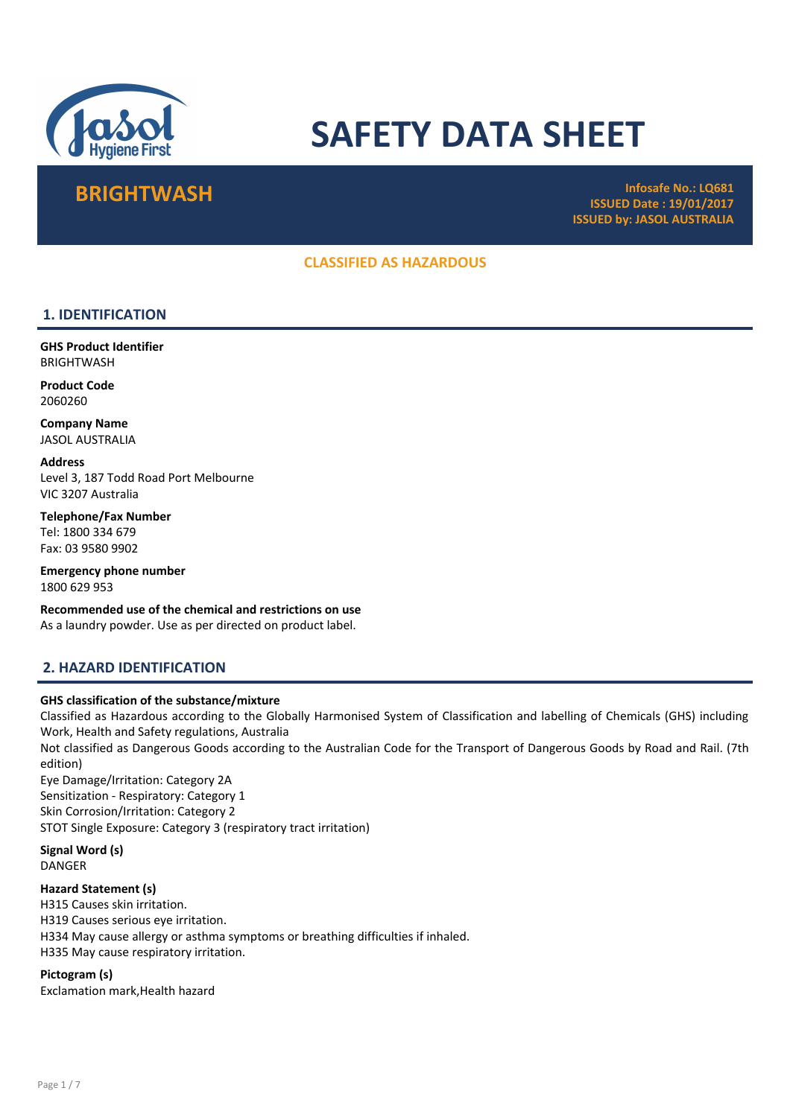

# SAFETY DATA SHEET

BRIGHTWASH Infosafe No.: LQ681 ISSUED Date : 19/01/2017 ISSUED by: JASOL AUSTRALIA

# CLASSIFIED AS HAZARDOUS

# 1. IDENTIFICATION

GHS Product Identifier **BRIGHTWASH** 

Product Code 2060260

Company Name JASOL AUSTRALIA

Address Level 3, 187 Todd Road Port Melbourne VIC 3207 Australia

Telephone/Fax Number Tel: 1800 334 679 Fax: 03 9580 9902

Emergency phone number 1800 629 953

Recommended use of the chemical and restrictions on use As a laundry powder. Use as per directed on product label.

# 2. HAZARD IDENTIFICATION

#### GHS classification of the substance/mixture

Classified as Hazardous according to the Globally Harmonised System of Classification and labelling of Chemicals (GHS) including Work, Health and Safety regulations, Australia

Not classified as Dangerous Goods according to the Australian Code for the Transport of Dangerous Goods by Road and Rail. (7th edition)

Eye Damage/Irritation: Category 2A Sensitization - Respiratory: Category 1 Skin Corrosion/Irritation: Category 2 STOT Single Exposure: Category 3 (respiratory tract irritation)

Signal Word (s) DANGER

#### Hazard Statement (s)

H315 Causes skin irritation. H319 Causes serious eye irritation. H334 May cause allergy or asthma symptoms or breathing difficulties if inhaled. H335 May cause respiratory irritation.

Pictogram (s) Exclamation mark,Health hazard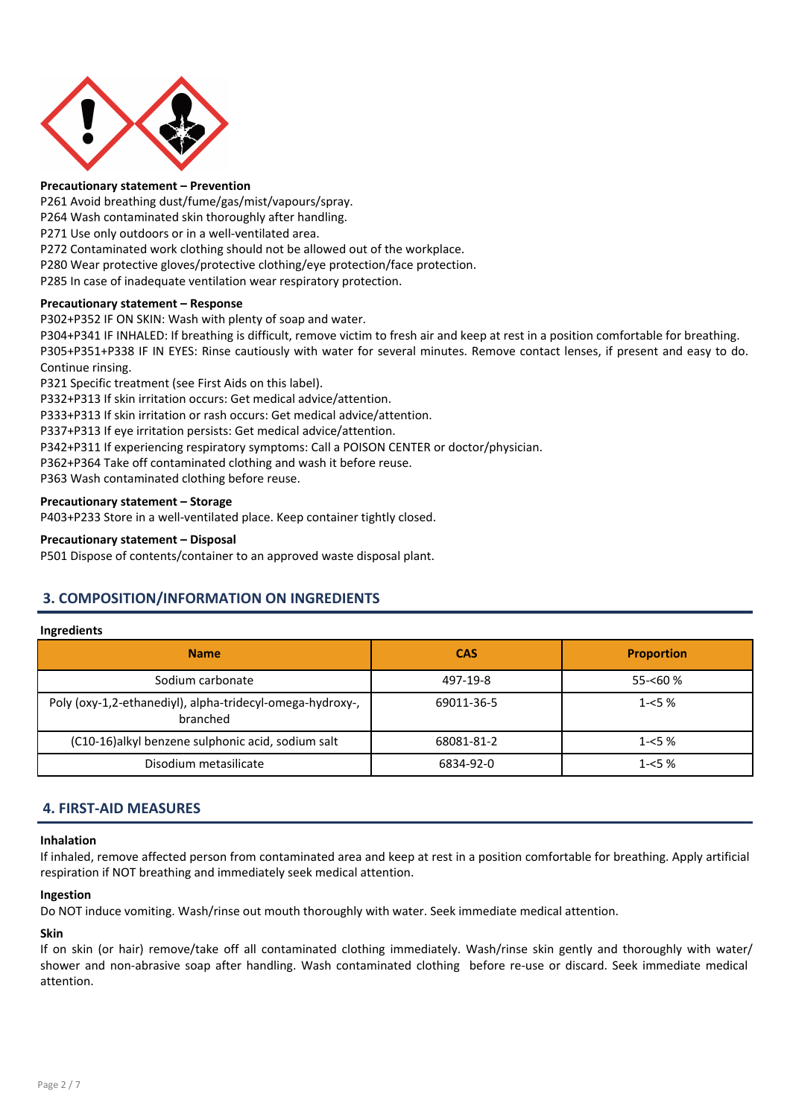

#### Precautionary statement – Prevention

P261 Avoid breathing dust/fume/gas/mist/vapours/spray.

P264 Wash contaminated skin thoroughly after handling.

P271 Use only outdoors or in a well-ventilated area.

P272 Contaminated work clothing should not be allowed out of the workplace.

P280 Wear protective gloves/protective clothing/eye protection/face protection.

P285 In case of inadequate ventilation wear respiratory protection.

#### Precautionary statement – Response

P302+P352 IF ON SKIN: Wash with plenty of soap and water.

P304+P341 IF INHALED: If breathing is difficult, remove victim to fresh air and keep at rest in a position comfortable for breathing. P305+P351+P338 IF IN EYES: Rinse cautiously with water for several minutes. Remove contact lenses, if present and easy to do. Continue rinsing.

P321 Specific treatment (see First Aids on this label).

P332+P313 If skin irritation occurs: Get medical advice/attention.

P333+P313 If skin irritation or rash occurs: Get medical advice/attention.

P337+P313 If eye irritation persists: Get medical advice/attention.

P342+P311 If experiencing respiratory symptoms: Call a POISON CENTER or doctor/physician.

P362+P364 Take off contaminated clothing and wash it before reuse.

P363 Wash contaminated clothing before reuse.

#### Precautionary statement – Storage

P403+P233 Store in a well-ventilated place. Keep container tightly closed.

#### Precautionary statement – Disposal

P501 Dispose of contents/container to an approved waste disposal plant.

# 3. COMPOSITION/INFORMATION ON INGREDIENTS

#### Ingredients

| <b>Name</b>                                                           | <b>CAS</b> | <b>Proportion</b> |
|-----------------------------------------------------------------------|------------|-------------------|
| Sodium carbonate                                                      | 497-19-8   | 55-<60 %          |
| Poly (oxy-1,2-ethanediyl), alpha-tridecyl-omega-hydroxy-,<br>branched | 69011-36-5 | $1 - 5%$          |
| (C10-16)alkyl benzene sulphonic acid, sodium salt                     | 68081-81-2 | $1 - 5%$          |
| Disodium metasilicate                                                 | 6834-92-0  | $1 - 5\%$         |

# 4. FIRST-AID MEASURES

#### Inhalation

If inhaled, remove affected person from contaminated area and keep at rest in a position comfortable for breathing. Apply artificial respiration if NOT breathing and immediately seek medical attention.

#### Ingestion

Do NOT induce vomiting. Wash/rinse out mouth thoroughly with water. Seek immediate medical attention.

#### Skin

If on skin (or hair) remove/take off all contaminated clothing immediately. Wash/rinse skin gently and thoroughly with water/ shower and non-abrasive soap after handling. Wash contaminated clothing before re-use or discard. Seek immediate medical attention.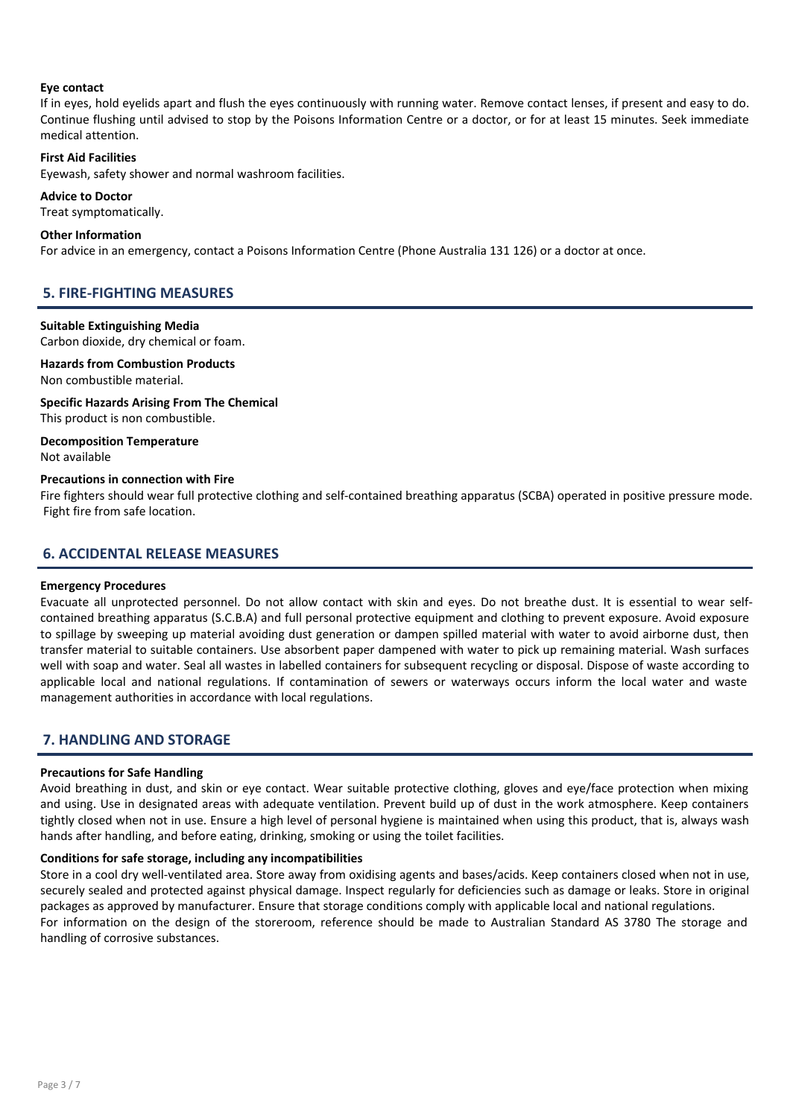#### Eye contact

If in eyes, hold eyelids apart and flush the eyes continuously with running water. Remove contact lenses, if present and easy to do. Continue flushing until advised to stop by the Poisons Information Centre or a doctor, or for at least 15 minutes. Seek immediate medical attention.

#### First Aid Facilities

Eyewash, safety shower and normal washroom facilities.

#### Advice to Doctor

Treat symptomatically.

#### Other Information

For advice in an emergency, contact a Poisons Information Centre (Phone Australia 131 126) or a doctor at once.

# 5. FIRE-FIGHTING MEASURES

#### Suitable Extinguishing Media

Carbon dioxide, dry chemical or foam.

Hazards from Combustion Products

Non combustible material.

#### Specific Hazards Arising From The Chemical

This product is non combustible.

# Decomposition Temperature

Not available

#### Precautions in connection with Fire

Fire fighters should wear full protective clothing and self-contained breathing apparatus (SCBA) operated in positive pressure mode. Fight fire from safe location.

# 6. ACCIDENTAL RELEASE MEASURES

#### Emergency Procedures

Evacuate all unprotected personnel. Do not allow contact with skin and eyes. Do not breathe dust. It is essential to wear selfcontained breathing apparatus (S.C.B.A) and full personal protective equipment and clothing to prevent exposure. Avoid exposure to spillage by sweeping up material avoiding dust generation or dampen spilled material with water to avoid airborne dust, then transfer material to suitable containers. Use absorbent paper dampened with water to pick up remaining material. Wash surfaces well with soap and water. Seal all wastes in labelled containers for subsequent recycling or disposal. Dispose of waste according to applicable local and national regulations. If contamination of sewers or waterways occurs inform the local water and waste management authorities in accordance with local regulations.

# 7. HANDLING AND STORAGE

#### Precautions for Safe Handling

Avoid breathing in dust, and skin or eye contact. Wear suitable protective clothing, gloves and eye/face protection when mixing and using. Use in designated areas with adequate ventilation. Prevent build up of dust in the work atmosphere. Keep containers tightly closed when not in use. Ensure a high level of personal hygiene is maintained when using this product, that is, always wash hands after handling, and before eating, drinking, smoking or using the toilet facilities.

#### Conditions for safe storage, including any incompatibilities

Store in a cool dry well-ventilated area. Store away from oxidising agents and bases/acids. Keep containers closed when not in use, securely sealed and protected against physical damage. Inspect regularly for deficiencies such as damage or leaks. Store in original packages as approved by manufacturer. Ensure that storage conditions comply with applicable local and national regulations. For information on the design of the storeroom, reference should be made to Australian Standard AS 3780 The storage and handling of corrosive substances.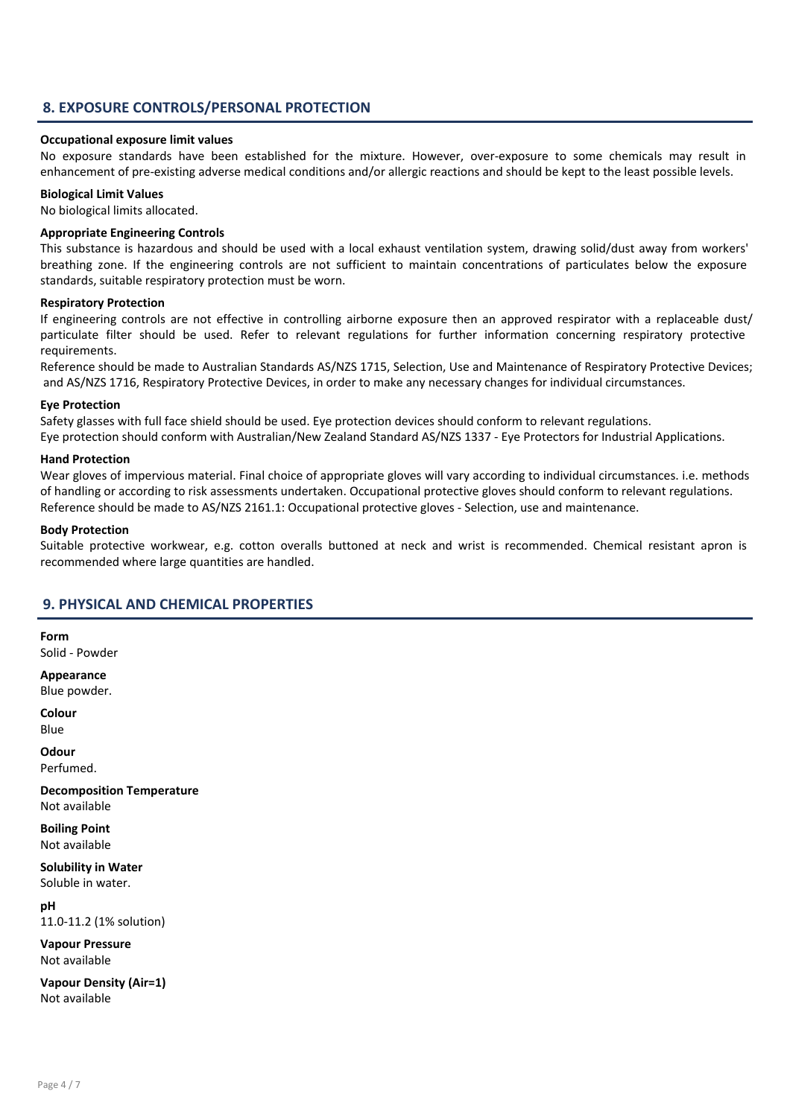# 8. EXPOSURE CONTROLS/PERSONAL PROTECTION

#### Occupational exposure limit values

No exposure standards have been established for the mixture. However, over-exposure to some chemicals may result in enhancement of pre-existing adverse medical conditions and/or allergic reactions and should be kept to the least possible levels.

#### Biological Limit Values

No biological limits allocated.

#### Appropriate Engineering Controls

This substance is hazardous and should be used with a local exhaust ventilation system, drawing solid/dust away from workers' breathing zone. If the engineering controls are not sufficient to maintain concentrations of particulates below the exposure standards, suitable respiratory protection must be worn.

#### Respiratory Protection

If engineering controls are not effective in controlling airborne exposure then an approved respirator with a replaceable dust/ particulate filter should be used. Refer to relevant regulations for further information concerning respiratory protective requirements.

Reference should be made to Australian Standards AS/NZS 1715, Selection, Use and Maintenance of Respiratory Protective Devices; and AS/NZS 1716, Respiratory Protective Devices, in order to make any necessary changes for individual circumstances.

#### Eye Protection

Safety glasses with full face shield should be used. Eye protection devices should conform to relevant regulations.

Eye protection should conform with Australian/New Zealand Standard AS/NZS 1337 - Eye Protectors for Industrial Applications.

# Hand Protection

Wear gloves of impervious material. Final choice of appropriate gloves will vary according to individual circumstances. i.e. methods of handling or according to risk assessments undertaken. Occupational protective gloves should conform to relevant regulations. Reference should be made to AS/NZS 2161.1: Occupational protective gloves - Selection, use and maintenance.

#### Body Protection

Suitable protective workwear, e.g. cotton overalls buttoned at neck and wrist is recommended. Chemical resistant apron is recommended where large quantities are handled.

# 9. PHYSICAL AND CHEMICAL PROPERTIES

Form

Solid - Powder

# Appearance

Blue powder.

Colour Blue

**Odour** 

Perfumed.

Decomposition Temperature Not available

Boiling Point Not available

Solubility in Water Soluble in water.

pH 11.0-11.2 (1% solution)

Vapour Pressure Not available

Vapour Density (Air=1) Not available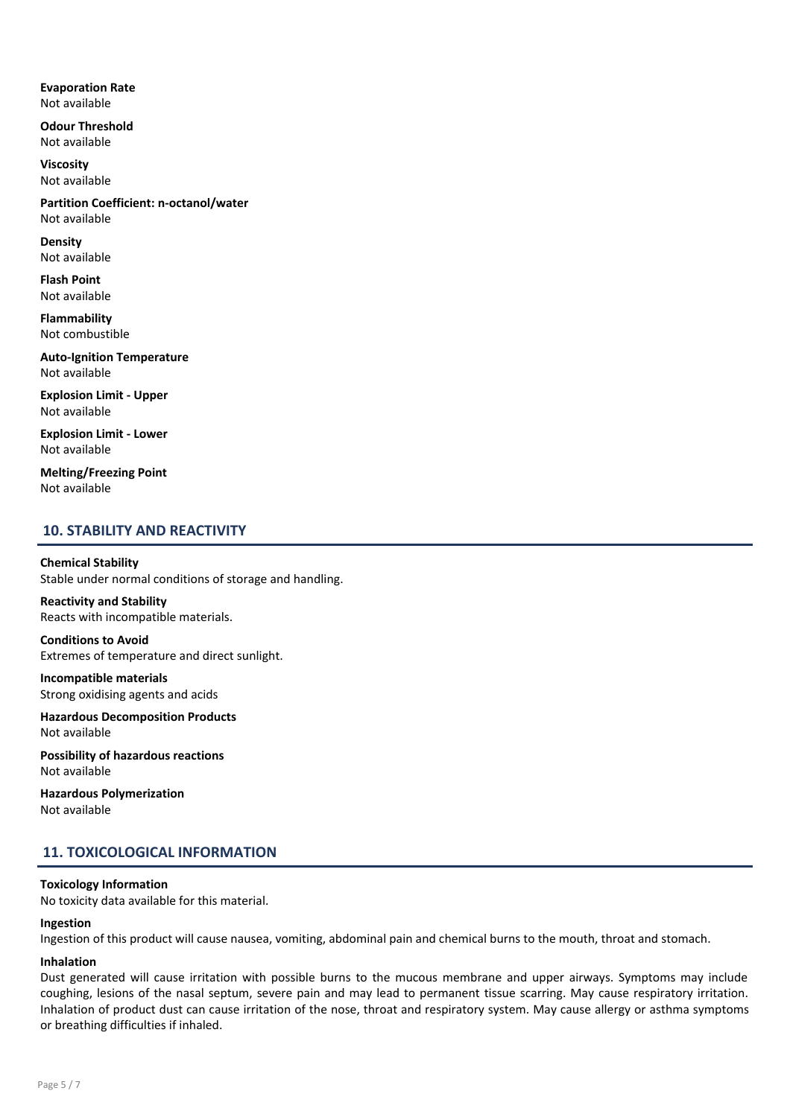Evaporation Rate Not available

Odour Threshold Not available

Viscosity Not available

Partition Coefficient: n-octanol/water Not available

Density Not available

Flash Point Not available

Flammability Not combustible

Auto-Ignition Temperature Not available

Explosion Limit - Upper Not available

Explosion Limit - Lower Not available

Melting/Freezing Point Not available

# 10. STABILITY AND REACTIVITY

#### Chemical Stability

Stable under normal conditions of storage and handling.

Reactivity and Stability Reacts with incompatible materials.

Conditions to Avoid Extremes of temperature and direct sunlight.

Incompatible materials Strong oxidising agents and acids

Hazardous Decomposition Products Not available

Possibility of hazardous reactions Not available

Hazardous Polymerization Not available

# 11. TOXICOLOGICAL INFORMATION

#### Toxicology Information

No toxicity data available for this material.

#### Ingestion

Ingestion of this product will cause nausea, vomiting, abdominal pain and chemical burns to the mouth, throat and stomach.

#### Inhalation

Dust generated will cause irritation with possible burns to the mucous membrane and upper airways. Symptoms may include coughing, lesions of the nasal septum, severe pain and may lead to permanent tissue scarring. May cause respiratory irritation. Inhalation of product dust can cause irritation of the nose, throat and respiratory system. May cause allergy or asthma symptoms or breathing difficulties if inhaled.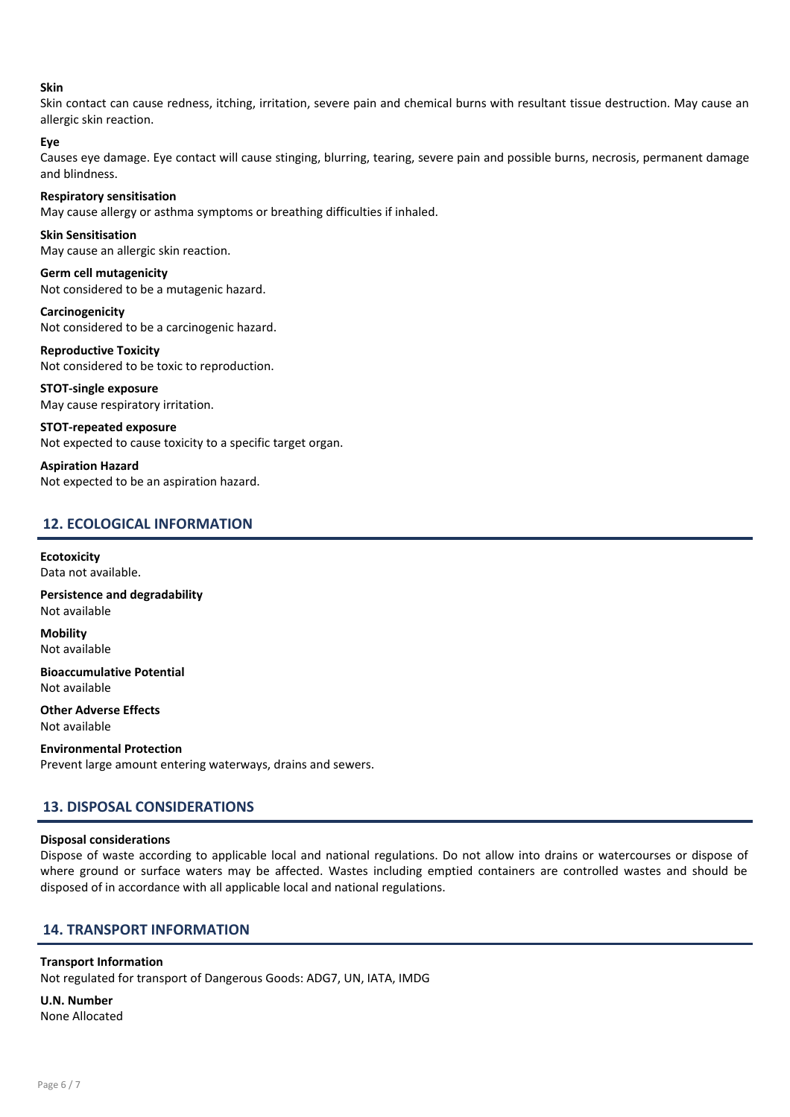#### Skin

Skin contact can cause redness, itching, irritation, severe pain and chemical burns with resultant tissue destruction. May cause an allergic skin reaction.

#### Eye

Causes eye damage. Eye contact will cause stinging, blurring, tearing, severe pain and possible burns, necrosis, permanent damage and blindness.

#### Respiratory sensitisation

May cause allergy or asthma symptoms or breathing difficulties if inhaled.

Skin Sensitisation May cause an allergic skin reaction.

Germ cell mutagenicity Not considered to be a mutagenic hazard.

Carcinogenicity Not considered to be a carcinogenic hazard.

Reproductive Toxicity Not considered to be toxic to reproduction.

STOT-single exposure May cause respiratory irritation.

STOT-repeated exposure Not expected to cause toxicity to a specific target organ.

Aspiration Hazard Not expected to be an aspiration hazard.

# 12. ECOLOGICAL INFORMATION

**Ecotoxicity** Data not available.

Persistence and degradability Not available

Mobility Not available

Bioaccumulative Potential Not available

Other Adverse Effects Not available

Environmental Protection Prevent large amount entering waterways, drains and sewers.

# 13. DISPOSAL CONSIDERATIONS

#### Disposal considerations

Dispose of waste according to applicable local and national regulations. Do not allow into drains or watercourses or dispose of where ground or surface waters may be affected. Wastes including emptied containers are controlled wastes and should be disposed of in accordance with all applicable local and national regulations.

# 14. TRANSPORT INFORMATION

Transport Information Not regulated for transport of Dangerous Goods: ADG7, UN, IATA, IMDG

U.N. Number None Allocated